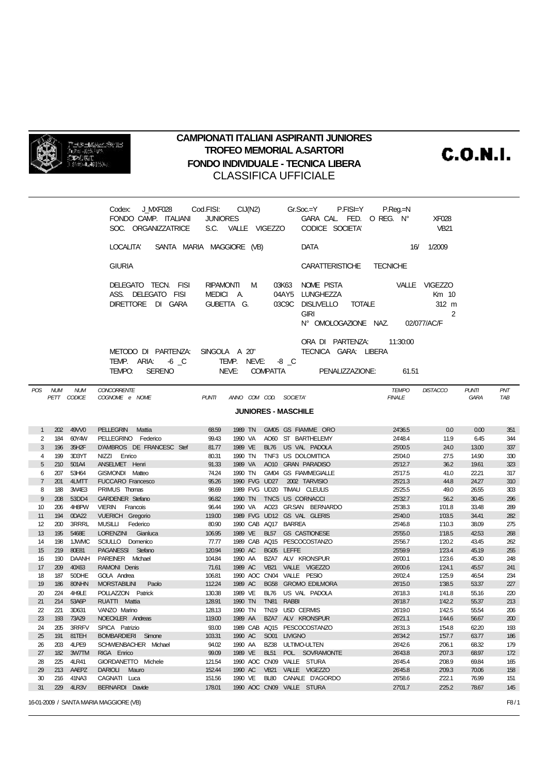

## **CAMPIONATI ITALIANI ASPIRANTI JUNIORES TROFEO MEMORIAL A.SARTORI FONDO INDIVIDUALE - TECNICA LIBERA CLASSIFICA UFFICIALE**

**C.O.N.I.** 

|                                                                     |         |                    | Codex:<br>FONDO CAMP. ITALIANI                                           | <b>JUNIORES</b>  |                           |             | J_MXF028         Cod.FISI:       CIJ(N2)            Gr.Soc.=Y          P.FISI=Y<br>GARA CAL FED. O REG. N° | $P_{\cdot}$ Req $=$ N         | <b>XF028</b>                    |                             |            |
|---------------------------------------------------------------------|---------|--------------------|--------------------------------------------------------------------------|------------------|---------------------------|-------------|------------------------------------------------------------------------------------------------------------|-------------------------------|---------------------------------|-----------------------------|------------|
|                                                                     |         |                    | SOC. ORGANIZZATRICE                                                      |                  | S.C. VALLE VIGEZZO        |             | CODICE SOCIETA'                                                                                            |                               | <b>VB21</b>                     |                             |            |
|                                                                     |         |                    | SANTA MARIA MAGGIORE (VB)<br>LOCALITA'                                   |                  |                           |             | DATA                                                                                                       |                               | 16/ 1/2009                      |                             |            |
|                                                                     |         |                    | <b>GIURIA</b>                                                            |                  |                           |             | <b>CARATTERISTICHE</b>                                                                                     | TECNICHE                      |                                 |                             |            |
|                                                                     |         |                    | DELEGATO TECN. FISI<br>ASS. DELEGATO FISI<br>DIRETTORE DI GARA           | MEDICI A.        | RIPAMONTI M<br>GUBETTA G. |             | NOME PISTA<br>03K63<br>04AY5 LUNGHEZZA<br>03C9C DISLIVELLO TOTALE                                          |                               | VALLE VIGEZZO<br>Km 10<br>312 m |                             |            |
|                                                                     |         |                    |                                                                          |                  |                           |             | <b>GIRI</b><br>N° OMOLOGAZIONE NAZ. 02/077/AC/F                                                            |                               | 2                               |                             |            |
|                                                                     |         |                    | METODO DI PARTENZA: SINGOLA A 20"<br>TEMP. ARIA: 6 C<br>SERENO<br>TEMPO: |                  | TEMP. NEVE: -8 _C         |             | ORA DI PARTENZA:<br>TECNICA GARA: LIBERA<br>NEVE: COMPATTA PENALIZZAZIONE:                                 | 11:30:00<br>61.51             |                                 |                             |            |
|                                                                     | POS NUM | <b>NUM</b>         | <b>CONCORRENTE</b><br>COGNOME e NOME                                     | <b>PUNTI</b>     |                           |             |                                                                                                            | <b>TEMPO</b><br><b>FINALE</b> | <b>DISTACCO</b>                 | <b>PUNTI</b><br><b>GARA</b> | PNT<br>TAB |
| PETT CODICE<br>ANNO COM COD. SOCIETA'<br><b>JUNIORES - MASCHILE</b> |         |                    |                                                                          |                  |                           |             |                                                                                                            |                               |                                 |                             |            |
| $\mathbf{1}$                                                        | 202     | 49W0               | <b>PELLEGRIN</b><br>Mattia                                               | 68.59            | 1989 TN                   |             | GM05 GS FIAMME ORO                                                                                         | 24'36.5                       | 0.0                             | 0.00                        | 351        |
| $\overline{2}$                                                      |         | 184 60Y4W          | PELLEGRINO Federico                                                      | 99.43            |                           |             | 1990 VA AO60 ST BARTHELEMY                                                                                 | 24'48.4                       | 11.9                            | 6.45                        | 344        |
| 3                                                                   |         | 196 35H2F          | D'AMBROS DE FRANCESC Stef                                                | 81.77            |                           |             | 1989 VE BL76 US VAL PADOLA                                                                                 | 25'00.5                       | 24.0                            | 13.00                       | 337        |
| 4                                                                   | 199     | 3D3YT              | NIZZI Enrico                                                             | 80.31            | 1990 TN                   |             | TNF3 US DOLOMITICA                                                                                         | 25'04.0                       | 27.5                            | 14.90                       | 330        |
| 5                                                                   | 210     | 501A4              | ANSELMET Henri                                                           | 91.33            | 1989 VA                   |             | AO10 GRAN PARADISO                                                                                         | 25'12.7                       | 36.2                            | 19.61                       | 323        |
| 6                                                                   | 207     | 53H64              | GISMONDI Matteo                                                          | 74.24            | 1990 TN                   |             | GM04 GS FIAMMEGIALLE                                                                                       | 25'17.5                       | 41.0                            | 22.21                       | 317        |
| $\overline{7}$                                                      |         | 201 4LMTT          | FUCCARO Francesco                                                        | 95.26            |                           |             | 1990 FVG UD27 2002 TARVISIO                                                                                | 25'21.3                       | 44.8                            | 24.27                       | 310        |
| 8                                                                   |         | 188 3W4E3          | PRIMUS Thomas                                                            | 98.69            |                           |             | 1989 FVG UD20 TIMAU CLEULIS                                                                                | 25'25.5                       | 49.0                            | 26.55                       | 303        |
| 9                                                                   | 208     | 53DD4              | <b>GARDENER Stefano</b>                                                  | 96.82            | 1990 TN                   |             | TNC5 US CORNACCI                                                                                           | 25'32.7                       | 56.2                            | 30.45                       | 296        |
| 10                                                                  |         | 206 4H8PW          | VIERIN Francois                                                          | 96.44            | 1990 VA                   |             | AO23 GR.SAN BERNARDO                                                                                       | 25'38.3                       | 1'01.8                          | 33.48                       | 289        |
| 11                                                                  | 194     | 0DA22              | <b>VUERICH Gregorio</b>                                                  | 119.00           |                           |             | 1989 FVG UD12 GS VAL GLERIS                                                                                | 25'40.0                       | 1'03.5                          | 34.41                       | 282        |
| 12                                                                  |         | 200 3RRRL          | MUSILLI Federico                                                         | 80.90            | 1990 CAB AQ17 BARREA      |             |                                                                                                            | 25'46.8                       | 1'10.3                          | 38.09                       | 275        |
| 13                                                                  |         | 195 5468E          | LORENZINI Gianluca                                                       | 106.95           | 1989 VE                   |             | BL57 GS CASTIONESE                                                                                         | 25'55.0                       | 1'18.5                          | 42.53                       | 268        |
| 14                                                                  |         | 198 1JWMC          | SCIULLO Domenico                                                         | 77.77            |                           |             | 1989 CAB AQ15 PESCOCOSTANZO                                                                                | 25'56.7                       | 1'20.2                          | 43.45                       | 262        |
| 15                                                                  |         | 219 80E81          | PAGANESSI Stefano                                                        | 120.94           | 1990 AC                   |             | BG05 LEFFE                                                                                                 | 25'59.9                       | 1'23.4                          | 45.19                       | 255        |
| 16                                                                  |         | 190 DAANH          | PAREINER Michael                                                         | 104.84           | 1990 AA                   |             | BZA7 ALV KRONSPUR                                                                                          | 26'00.1                       | 1'23.6                          | 45.30                       | 248        |
| 17                                                                  |         | 209 40X63          | RAMONI Denis                                                             | 71.61            | 1989 AC                   |             | VB21 VALLE VIGEZZO<br>1990 ACC CN04 VALLE PESIO                                                            | 26'00.6                       | 1'24.1                          | 45.57                       | 241        |
| 18<br>19                                                            | 186     | 187 50DHE<br>80NHN | GOLA Andrea<br><b>MORSTABILINI</b><br>Paolo                              | 106.81<br>112.24 | 1989 AC                   |             | BG58 GROMO EDILMORA                                                                                        | 26'02.4<br>26'15.0            | 1'25.9<br>1'38.5                | 46.54<br>53.37              | 234<br>227 |
| 20                                                                  |         | 224 4H9LE          | POLLAZZON Patrick                                                        | 130.38           | 1989 VE                   |             | BL76 US VAL PADOLA                                                                                         | 26'18.3                       | 1'41.8                          | 55.16                       | 220        |
| 21                                                                  |         | 214 53A6P          | RUATTI Mattia                                                            | 128.91           | 1990 TN TN81 RABBI        |             |                                                                                                            | 26'18.7                       | 1'42.2                          | 55.37                       | 213        |
| 22                                                                  | 221     | 3D631              | VANZO Marino                                                             | 128.13           | 1990 TN                   |             | TN19 USD CERMIS                                                                                            | 26'19.0                       | 1'42.5                          | 55.54                       | 206        |
| 23                                                                  | 193     | 73A29              | NOECKLER Andreas                                                         | 119.00           | 1989 AA                   |             | BZA7 ALV KRONSPUR                                                                                          | 26'21.1                       | 1'44.6                          | 56.67                       | 200        |
| 24                                                                  | 205     | 3RRFV              | SPICA Patrizio                                                           | 93.00            |                           |             | 1989 CAB AQ15 PESCOCOSTANZO                                                                                | 26'31.3                       | 1'54.8                          | 62.20                       | 193        |
| 25                                                                  | 191     | 81TEH              | <b>BOMBARDIERI</b> Simone                                                | 103.31           | 1990 AC                   |             | SO01 LIVIGNO                                                                                               | 26'34.2                       | 1'57.7                          | 63.77                       | 186        |
| 26                                                                  | 203     | 4LPE9              | SCHWIENBACHER Michael                                                    | 94.02            | 1990 AA                   |             | BZ38 ULTIMO-ULTEN                                                                                          | 26'42.6                       | 2'06.1                          | 68.32                       | 179        |
| 27                                                                  |         | 182 3W7TM          | RIGA Enrico                                                              | 99.09            | 1989 VE                   | <b>BL51</b> | POL. SOVRAMONTE                                                                                            | 26'43.8                       | 2'07.3                          | 68.97                       | 172        |
| 28                                                                  | 225     | 4LR41              | GIORDANETTO Michele                                                      | 121.54           |                           |             | 1990 ACC CN09 VALLE STURA                                                                                  | 26'45.4                       | 2'08.9                          | 69.84                       | 165        |
| 29                                                                  |         | 213 AAEPZ          | DARIOLI Mauro                                                            | 152.44           | 1990 AC                   | <b>VB21</b> | VALLE VIGEZZO                                                                                              | 26'45.8                       | 2'09.3                          | 70.06                       | 158        |
| 30                                                                  |         | 216 41NA3          | CAGNATI Luca                                                             | 151.56           | 1990 VE                   | <b>BL80</b> | CANALE D'AGORDO                                                                                            | 26'58.6                       | 2'22.1                          | 76.99                       | 151        |
| 31                                                                  |         | 229 4LR3V          | BERNARDI Davide                                                          | 178.01           |                           |             | 1990 ACC CN09 VALLE STURA                                                                                  | 27'01.7                       | 2'25.2                          | 78.67                       | 145        |
|                                                                     |         |                    | 16-01-2009 / SANTA MARIA MAGGIORE (VB)                                   |                  |                           |             |                                                                                                            |                               |                                 |                             | F8/1       |